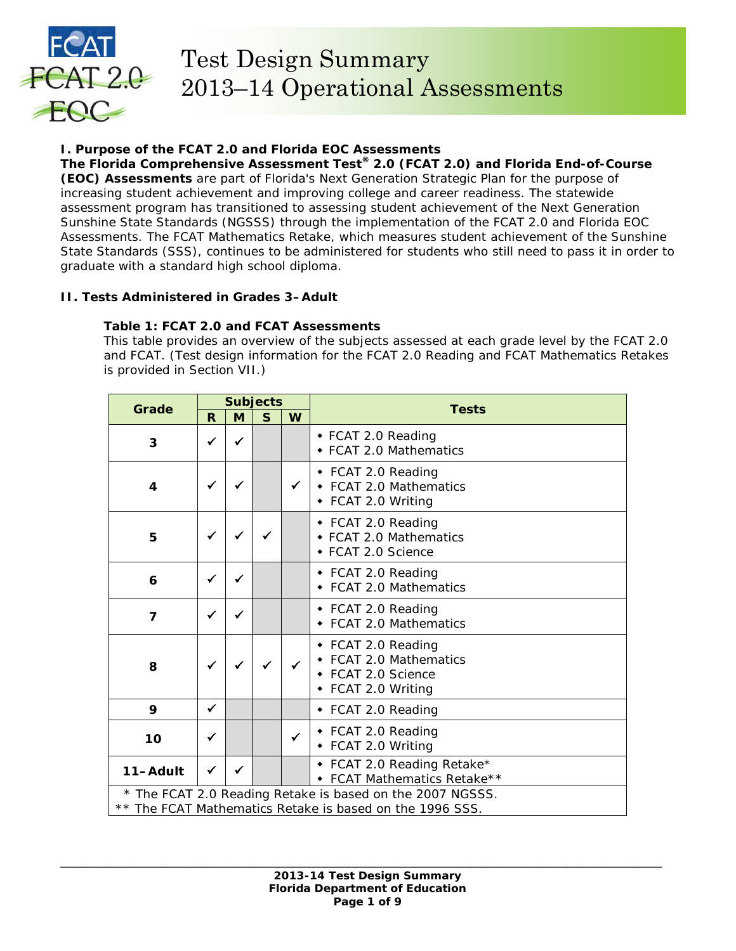

# Test Design Summary 2013–14 Operational Assessments

# **I. Purpose of the FCAT 2.0 and Florida EOC Assessments**

**The Florida Comprehensive Assessment Test® 2.0 (FCAT 2.0) and Florida End-of-Course (EOC) Assessments** are part of Florida's Next Generation Strategic Plan for the purpose of increasing student achievement and improving college and career readiness. The statewide assessment program has transitioned to assessing student achievement of the Next Generation Sunshine State Standards (NGSSS) through the implementation of the FCAT 2.0 and Florida EOC Assessments. The FCAT Mathematics Retake, which measures student achievement of the Sunshine State Standards (SSS), continues to be administered for students who still need to pass it in order to graduate with a standard high school diploma.

# **II. Tests Administered in Grades 3–Adult**

# **Table 1: FCAT 2.0 and FCAT Assessments**

*This table provides an overview of the subjects assessed at each grade level by the FCAT 2.0 and FCAT. (Test design information for the FCAT 2.0 Reading and FCAT Mathematics Retakes is provided in Section VII.)* 

| <b>Grade</b>   |              |              | <b>Subjects</b> |              | <b>Tests</b>                                                                                                          |
|----------------|--------------|--------------|-----------------|--------------|-----------------------------------------------------------------------------------------------------------------------|
|                | R            | M            | $\mathsf{s}$    | W            |                                                                                                                       |
| 3              | ✓            | $\checkmark$ |                 |              | ◆ FCAT 2.0 Reading<br>◆ FCAT 2.0 Mathematics                                                                          |
| 4              | ✓            | ✔            |                 | $\checkmark$ | ◆ FCAT 2.0 Reading<br>• FCAT 2.0 Mathematics<br>◆ FCAT 2.0 Writing                                                    |
| 5              | $\checkmark$ | ✓            |                 |              | ◆ FCAT 2.0 Reading<br>◆ FCAT 2.0 Mathematics<br>◆ FCAT 2.0 Science                                                    |
| 6              | ✓            |              |                 |              | ◆ FCAT 2.0 Reading<br>◆ FCAT 2.0 Mathematics                                                                          |
| $\overline{7}$ | ✓            | ✔            |                 |              | ◆ FCAT 2.0 Reading<br>• FCAT 2.0 Mathematics                                                                          |
| 8              |              |              |                 | $\checkmark$ | ◆ FCAT 2.0 Reading<br>◆ FCAT 2.0 Mathematics<br>◆ FCAT 2.0 Science<br>◆ FCAT 2.0 Writing                              |
| $\mathbf Q$    | $\checkmark$ |              |                 |              | ◆ FCAT 2.0 Reading                                                                                                    |
| 10             | ✓            |              |                 | $\checkmark$ | ◆ FCAT 2.0 Reading<br>• FCAT 2.0 Writing                                                                              |
| 11-Adult       | $\checkmark$ | $\checkmark$ |                 |              | • FCAT 2.0 Reading Retake*<br>• FCAT Mathematics Retake**                                                             |
|                |              |              |                 |              | * The FCAT 2.0 Reading Retake is based on the 2007 NGSSS.<br>** The FCAT Mathematics Retake is based on the 1996 SSS. |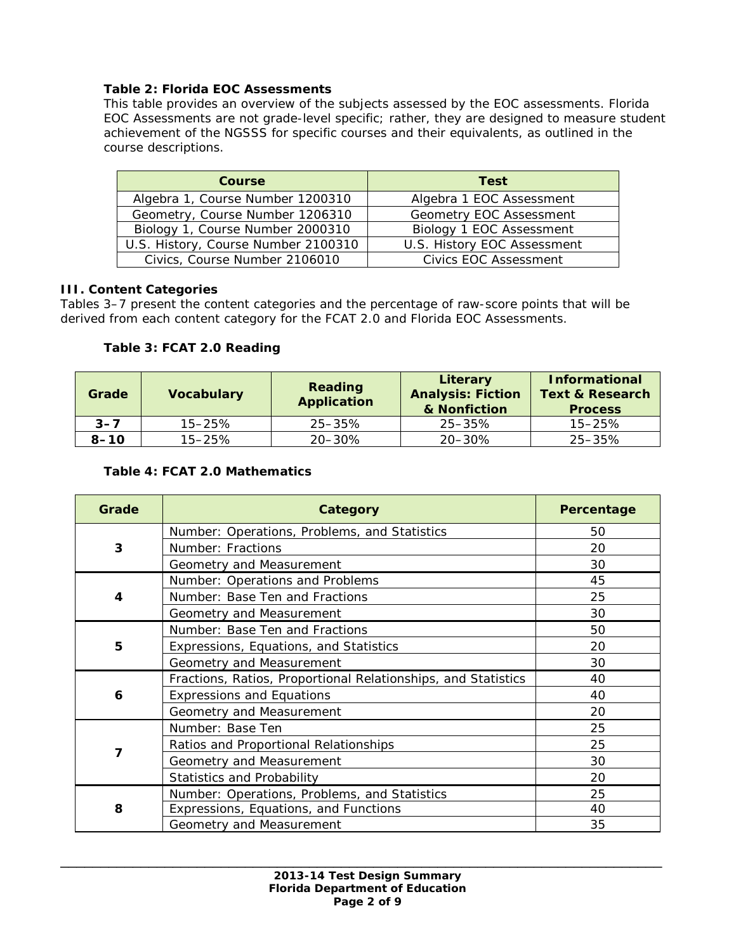## **Table 2: Florida EOC Assessments**

*This table provides an overview of the subjects assessed by the EOC assessments. Florida EOC Assessments are not grade-level specific; rather, they are designed to measure student achievement of the NGSSS for specific courses and their equivalents, as outlined in the course descriptions.*

| <b>Course</b>                       | Test                        |
|-------------------------------------|-----------------------------|
| Algebra 1, Course Number 1200310    | Algebra 1 EOC Assessment    |
| Geometry, Course Number 1206310     | Geometry EOC Assessment     |
| Biology 1, Course Number 2000310    | Biology 1 EOC Assessment    |
| U.S. History, Course Number 2100310 | U.S. History EOC Assessment |
| Civics, Course Number 2106010       | Civics FOC Assessment       |

## **III. Content Categories**

Tables 3–7 present the content categories and the percentage of raw-score points that will be derived from each content category for the FCAT 2.0 and Florida EOC Assessments.

## **Table 3: FCAT 2.0 Reading**

| Grade    | <b>Vocabulary</b> | Reading<br><b>Application</b> | Literary<br><b>Analysis: Fiction</b><br>& Nonfiction | <b>Informational</b><br><b>Text &amp; Research</b><br><b>Process</b> |
|----------|-------------------|-------------------------------|------------------------------------------------------|----------------------------------------------------------------------|
| $3 - 7$  | $15 - 25%$        | $25 - 35\%$                   | 25–35%                                               | $15 - 25%$                                                           |
| $8 - 10$ | $15 - 25%$        | $20 - 30\%$                   | $20 - 30\%$                                          | 25–35%                                                               |

## **Table 4: FCAT 2.0 Mathematics**

| Grade | Category                                                      | Percentage |
|-------|---------------------------------------------------------------|------------|
|       | Number: Operations, Problems, and Statistics                  | 50         |
| 3     | Number: Fractions                                             | 20         |
|       | Geometry and Measurement                                      | 30         |
|       | Number: Operations and Problems                               | 45         |
| 4     | Number: Base Ten and Fractions                                | 25         |
|       | Geometry and Measurement                                      | 30         |
|       | Number: Base Ten and Fractions                                | 50         |
| 5     | Expressions, Equations, and Statistics                        | 20         |
|       | Geometry and Measurement                                      | 30         |
|       | Fractions, Ratios, Proportional Relationships, and Statistics | 40         |
| 6     | <b>Expressions and Equations</b>                              | 40         |
|       | Geometry and Measurement                                      | 20         |
|       | Number: Base Ten                                              | 25         |
|       | Ratios and Proportional Relationships                         | 25         |
| 7     | Geometry and Measurement                                      | 30         |
|       | <b>Statistics and Probability</b>                             | 20         |
|       | Number: Operations, Problems, and Statistics                  | 25         |
| 8     | Expressions, Equations, and Functions                         | 40         |
|       | Geometry and Measurement                                      | 35         |

\_\_\_\_\_\_\_\_\_\_\_\_\_\_\_\_\_\_\_\_\_\_\_\_\_\_\_\_\_\_\_\_\_\_\_\_\_\_\_\_\_\_\_\_\_\_\_\_\_\_\_\_\_\_\_\_\_\_\_\_\_\_\_\_\_\_\_\_\_\_\_\_\_\_\_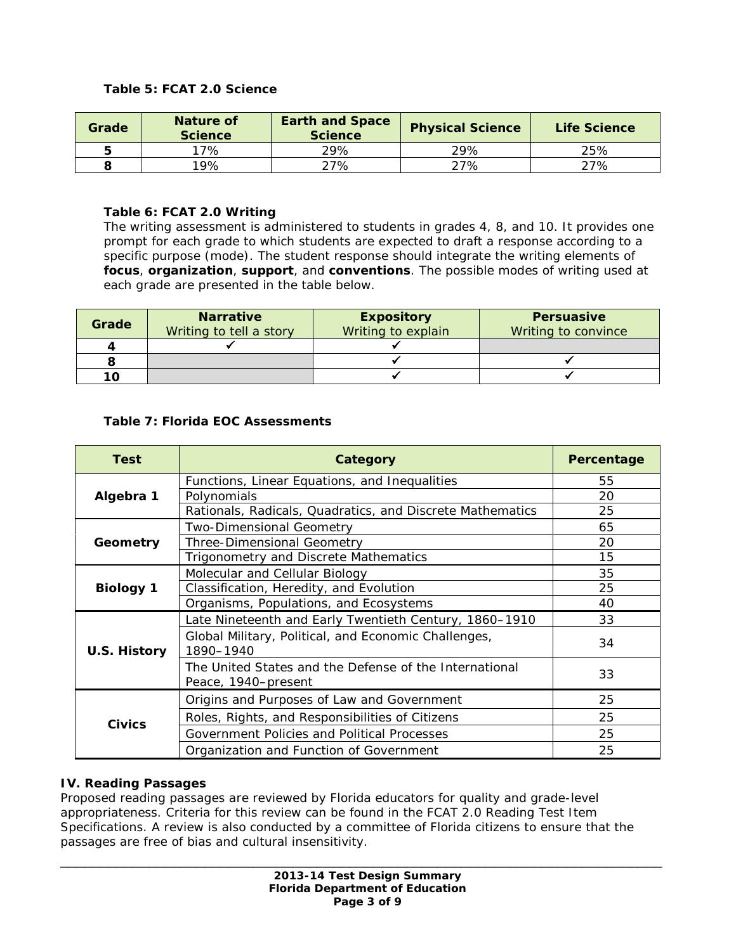## **Table 5: FCAT 2.0 Science**

| Grade | Nature of<br><b>Science</b> | <b>Earth and Space</b><br><b>Science</b> | <b>Physical Science</b> | Life Science |
|-------|-----------------------------|------------------------------------------|-------------------------|--------------|
|       | 17%                         | 29%                                      | 29%                     | 25%          |
|       | $19\%$                      | 27%                                      | 27%                     | 27%          |

## **Table 6: FCAT 2.0 Writing**

*The writing assessment is administered to students in grades 4, 8, and 10. It provides one prompt for each grade to which students are expected to draft a response according to a specific purpose (mode). The student response should integrate the writing elements of focus, organization, support, and conventions. The possible modes of writing used at each grade are presented in the table below.* 

| Grade | <b>Narrative</b><br>Writing to tell a story | <b>Expository</b><br>Writing to explain | <b>Persuasive</b><br><b>Writing to convince</b> |
|-------|---------------------------------------------|-----------------------------------------|-------------------------------------------------|
|       |                                             |                                         |                                                 |
|       |                                             |                                         |                                                 |
| 10.   |                                             |                                         |                                                 |

## **Table 7: Florida EOC Assessments**

| <b>Test</b>      | Category                                                                      | Percentage |
|------------------|-------------------------------------------------------------------------------|------------|
|                  | Functions, Linear Equations, and Inequalities                                 | 55         |
| Algebra 1        | Polynomials                                                                   | 20         |
|                  | Rationals, Radicals, Quadratics, and Discrete Mathematics                     | 25         |
|                  | <b>Two-Dimensional Geometry</b>                                               | 65         |
| Geometry         | Three-Dimensional Geometry                                                    | 20         |
|                  | Trigonometry and Discrete Mathematics                                         | 15         |
|                  | Molecular and Cellular Biology                                                | 35         |
| <b>Biology 1</b> | Classification, Heredity, and Evolution                                       | 25         |
|                  | Organisms, Populations, and Ecosystems                                        | 40         |
|                  | Late Nineteenth and Early Twentieth Century, 1860-1910                        | 33         |
| U.S. History     | Global Military, Political, and Economic Challenges,<br>1890-1940             | 34         |
|                  | The United States and the Defense of the International<br>Peace, 1940-present | 33         |
|                  | Origins and Purposes of Law and Government                                    | 25         |
| <b>Civics</b>    | Roles, Rights, and Responsibilities of Citizens                               | 25         |
|                  | Government Policies and Political Processes                                   | 25         |
|                  | Organization and Function of Government                                       | 25         |

#### **IV. Reading Passages**

Proposed reading passages are reviewed by Florida educators for quality and grade-level appropriateness. Criteria for this review can be found in the *FCAT 2.0 Reading Test Item Specifications.* A review is also conducted by a committee of Florida citizens to ensure that the passages are free of bias and cultural insensitivity.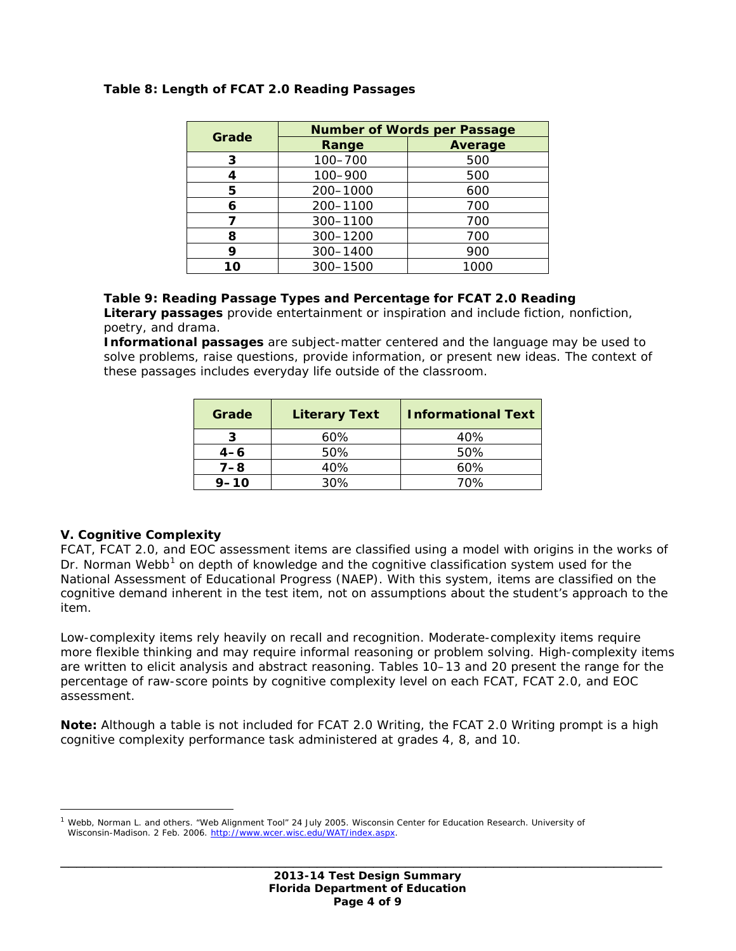| Grade | <b>Number of Words per Passage</b> |                |  |
|-------|------------------------------------|----------------|--|
|       | Range                              | <b>Average</b> |  |
| 3     | 100-700                            | 500            |  |
|       | 100-900                            | 500            |  |
| 5     | 200-1000                           | 600            |  |
| 6     | 200-1100                           | 700            |  |
|       | 300-1100                           | 700            |  |
| 8     | 300-1200                           | 700            |  |
| 9     | 300-1400                           | 900            |  |
| 1ດ    | 300-1500                           | 1000           |  |

## **Table 8: Length of FCAT 2.0 Reading Passages**

#### **Table 9: Reading Passage Types and Percentage for FCAT 2.0 Reading**

*Literary passages provide entertainment or inspiration and include fiction, nonfiction, poetry, and drama.* 

*Informational passages are subject-matter centered and the language may be used to solve problems, raise questions, provide information, or present new ideas. The context of these passages includes everyday life outside of the classroom.*

| Grade    | <b>Literary Text</b> | <b>Informational Text</b> |
|----------|----------------------|---------------------------|
|          | 60%                  | 40%                       |
| $4 - 6$  | 50%                  | 50%                       |
| $7 - 8$  | 40%                  | 60%                       |
| $9 - 10$ | 30%                  | 70%                       |

#### **V. Cognitive Complexity**

 $\overline{a}$ 

FCAT, FCAT 2.0, and EOC assessment items are classified using a model with origins in the works of Dr. Norman Webb<sup>[1](#page-3-0)</sup> on depth of knowledge and the cognitive classification system used for the National Assessment of Educational Progress (NAEP). With this system, items are classified on the cognitive demand inherent in the test item, not on assumptions about the student's approach to the item.

Low-complexity items rely heavily on recall and recognition. Moderate-complexity items require more flexible thinking and may require informal reasoning or problem solving. High-complexity items are written to elicit analysis and abstract reasoning. Tables 10–13 and 20 present the range for the percentage of raw-score points by cognitive complexity level on each FCAT, FCAT 2.0, and EOC assessment.

**Note:** Although a table is not included for FCAT 2.0 Writing, the FCAT 2.0 Writing prompt is a high cognitive complexity performance task administered at grades 4, 8, and 10.

<span id="page-3-0"></span>Webb, Norman L. and others. "Web Alignment Tool" 24 July 2005. Wisconsin Center for Education Research. University of Wisconsin-Madison. 2 Feb. 2006. [http://www.wcer.wisc.edu/WAT/index.aspx.](http://www.wcer.wisc.edu/WAT/index.aspx)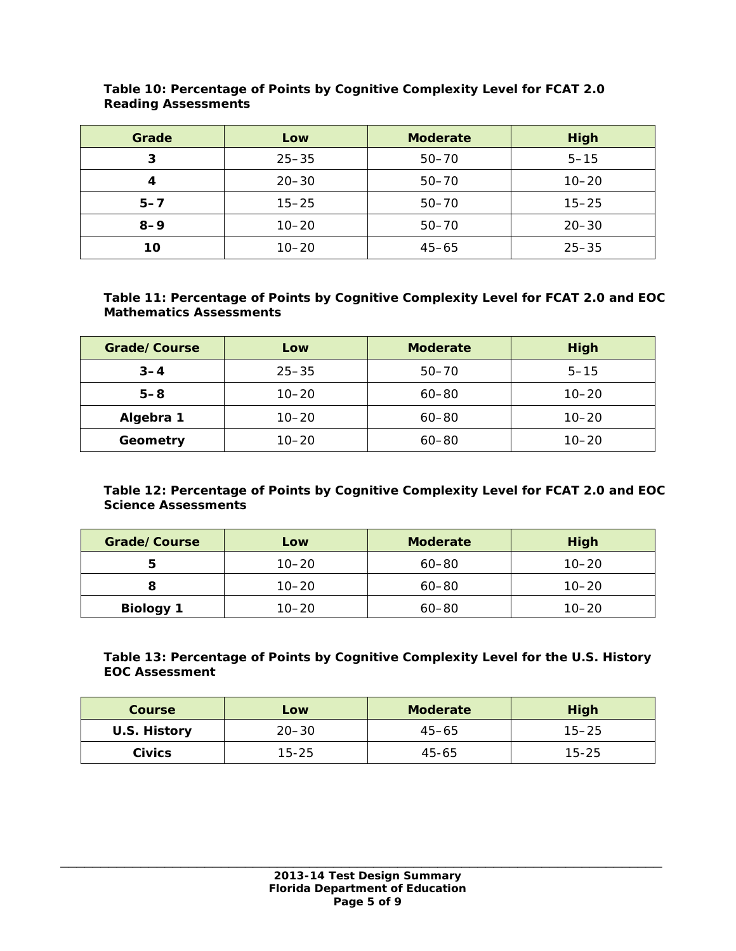| Grade   | Low       | <b>Moderate</b> | High      |
|---------|-----------|-----------------|-----------|
| З       | $25 - 35$ | $50 - 70$       | $5 - 15$  |
|         | $20 - 30$ | $50 - 70$       | $10 - 20$ |
| $5 - 7$ | $15 - 25$ | $50 - 70$       | $15 - 25$ |
| $8 - 9$ | $10 - 20$ | $50 - 70$       | $20 - 30$ |
| 10      | $10 - 20$ | $45 - 65$       | $25 - 35$ |

#### **Table 10: Percentage of Points by Cognitive Complexity Level for FCAT 2.0 Reading Assessments**

## **Table 11: Percentage of Points by Cognitive Complexity Level for FCAT 2.0 and EOC Mathematics Assessments**

| Grade/Course | Low       | <b>Moderate</b> | <b>High</b> |
|--------------|-----------|-----------------|-------------|
| $3 - 4$      | $25 - 35$ | $50 - 70$       | $5 - 15$    |
| $5 - 8$      | $10 - 20$ | $60 - 80$       | $10 - 20$   |
| Algebra 1    | $10 - 20$ | $60 - 80$       | $10 - 20$   |
| Geometry     | $10 - 20$ | $60 - 80$       | $10 - 20$   |

# **Table 12: Percentage of Points by Cognitive Complexity Level for FCAT 2.0 and EOC Science Assessments**

| Grade/Course     | Low       | <b>Moderate</b> | <b>High</b> |
|------------------|-----------|-----------------|-------------|
|                  | $10 - 20$ | $60 - 80$       | $10 - 20$   |
|                  | $10 - 20$ | $60 - 80$       | $10 - 20$   |
| <b>Biology 1</b> | $10 - 20$ | $60 - 80$       | $10 - 20$   |

## **Table 13: Percentage of Points by Cognitive Complexity Level for the U.S. History EOC Assessment**

| <b>Course</b> | Low       | <b>Moderate</b> | <b>High</b> |
|---------------|-----------|-----------------|-------------|
| U.S. History  | $20 - 30$ | $45 - 65$       | $15 - 25$   |
| <b>Civics</b> | 15-25     | $45 - 65$       | $15 - 25$   |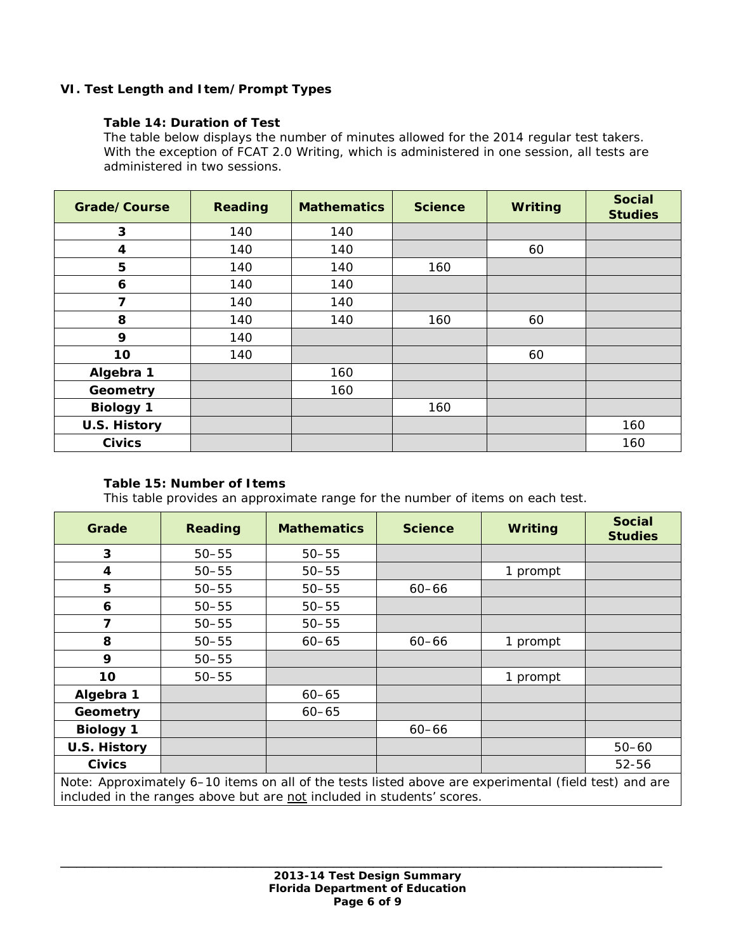# **VI. Test Length and Item/Prompt Types**

## **Table 14: Duration of Test**

*The table below displays the number of minutes allowed for the 2014 regular test takers. With the exception of FCAT 2.0 Writing, which is administered in one session, all tests are administered in two sessions.*

| Grade/Course        | <b>Reading</b> | <b>Mathematics</b> | <b>Science</b> | <b>Writing</b> | <b>Social</b><br><b>Studies</b> |
|---------------------|----------------|--------------------|----------------|----------------|---------------------------------|
| 3                   | 140            | 140                |                |                |                                 |
| 4                   | 140            | 140                |                | 60             |                                 |
| 5                   | 140            | 140                | 160            |                |                                 |
| 6                   | 140            | 140                |                |                |                                 |
| 7                   | 140            | 140                |                |                |                                 |
| 8                   | 140            | 140                | 160            | 60             |                                 |
| 9                   | 140            |                    |                |                |                                 |
| 10                  | 140            |                    |                | 60             |                                 |
| Algebra 1           |                | 160                |                |                |                                 |
| Geometry            |                | 160                |                |                |                                 |
| <b>Biology 1</b>    |                |                    | 160            |                |                                 |
| <b>U.S. History</b> |                |                    |                |                | 160                             |
| <b>Civics</b>       |                |                    |                |                | 160                             |

## **Table 15: Number of Items**

*This table provides an approximate range for the number of items on each test.*

| Grade                                                                                                                                                                           | <b>Reading</b> | <b>Mathematics</b> | <b>Science</b> | Writing  | <b>Social</b><br><b>Studies</b> |
|---------------------------------------------------------------------------------------------------------------------------------------------------------------------------------|----------------|--------------------|----------------|----------|---------------------------------|
| 3                                                                                                                                                                               | $50 - 55$      | $50 - 55$          |                |          |                                 |
| $\overline{\mathbf{4}}$                                                                                                                                                         | $50 - 55$      | $50 - 55$          |                | 1 prompt |                                 |
| 5                                                                                                                                                                               | $50 - 55$      | $50 - 55$          | $60 - 66$      |          |                                 |
| 6                                                                                                                                                                               | $50 - 55$      | $50 - 55$          |                |          |                                 |
| 7                                                                                                                                                                               | $50 - 55$      | $50 - 55$          |                |          |                                 |
| 8                                                                                                                                                                               | $50 - 55$      | $60 - 65$          | $60 - 66$      | 1 prompt |                                 |
| 9                                                                                                                                                                               | $50 - 55$      |                    |                |          |                                 |
| 10                                                                                                                                                                              | $50 - 55$      |                    |                | 1 prompt |                                 |
| Algebra 1                                                                                                                                                                       |                | $60 - 65$          |                |          |                                 |
| Geometry                                                                                                                                                                        |                | $60 - 65$          |                |          |                                 |
| <b>Biology 1</b>                                                                                                                                                                |                |                    | $60 - 66$      |          |                                 |
| U.S. History                                                                                                                                                                    |                |                    |                |          | $50 - 60$                       |
| <b>Civics</b>                                                                                                                                                                   |                |                    |                |          | 52-56                           |
| Note: Approximately 6–10 items on all of the tests listed above are experimental (field test) and are<br>included in the ranges above but are not included in students' scores. |                |                    |                |          |                                 |

\_\_\_\_\_\_\_\_\_\_\_\_\_\_\_\_\_\_\_\_\_\_\_\_\_\_\_\_\_\_\_\_\_\_\_\_\_\_\_\_\_\_\_\_\_\_\_\_\_\_\_\_\_\_\_\_\_\_\_\_\_\_\_\_\_\_\_\_\_\_\_\_\_\_\_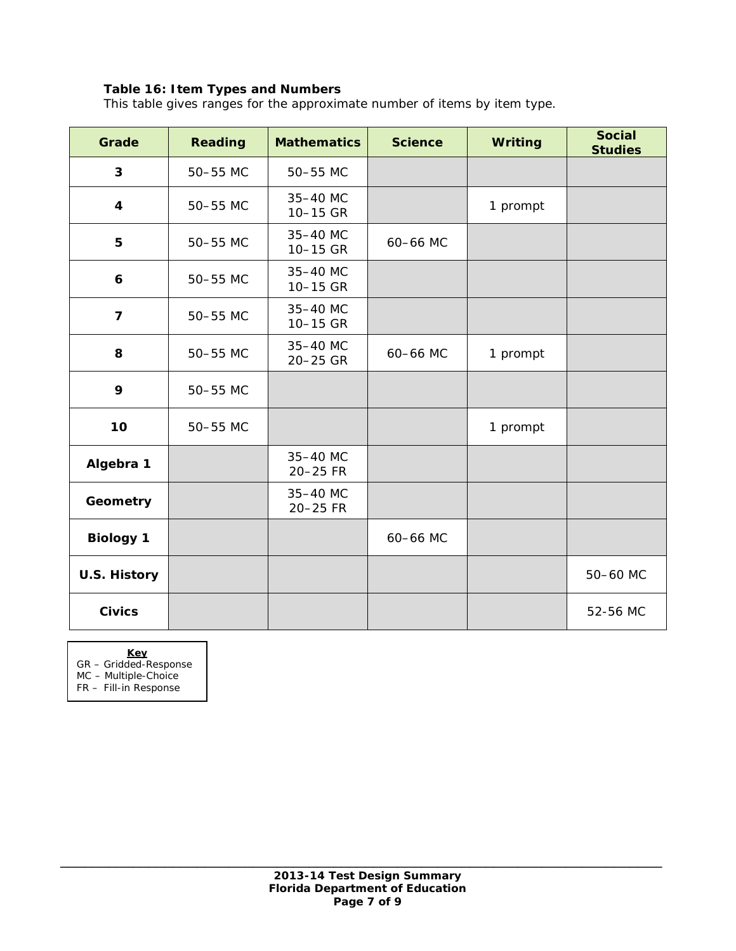# **Table 16: Item Types and Numbers**

*This table gives ranges for the approximate number of items by item type.* 

| Grade                   | <b>Reading</b> | <b>Mathematics</b>   | <b>Science</b> | Writing  | <b>Social</b><br><b>Studies</b> |
|-------------------------|----------------|----------------------|----------------|----------|---------------------------------|
| 3                       | 50-55 MC       | 50-55 MC             |                |          |                                 |
| $\overline{\mathbf{4}}$ | 50-55 MC       | 35-40 MC<br>10-15 GR |                | 1 prompt |                                 |
| 5                       | 50-55 MC       | 35-40 MC<br>10-15 GR | 60-66 MC       |          |                                 |
| 6                       | 50-55 MC       | 35-40 MC<br>10-15 GR |                |          |                                 |
| $\overline{7}$          | 50-55 MC       | 35-40 MC<br>10-15 GR |                |          |                                 |
| 8                       | 50-55 MC       | 35-40 MC<br>20-25 GR | 60-66 MC       | 1 prompt |                                 |
| 9                       | 50-55 MC       |                      |                |          |                                 |
| 10                      | 50-55 MC       |                      |                | 1 prompt |                                 |
| Algebra 1               |                | 35-40 MC<br>20-25 FR |                |          |                                 |
| Geometry                |                | 35-40 MC<br>20-25 FR |                |          |                                 |
| <b>Biology 1</b>        |                |                      | 60-66 MC       |          |                                 |
| <b>U.S. History</b>     |                |                      |                |          | 50-60 MC                        |
| <b>Civics</b>           |                |                      |                |          | 52-56 MC                        |

**Key**

GR – Gridded-Response

MC – Multiple-Choice

FR – Fill-in Response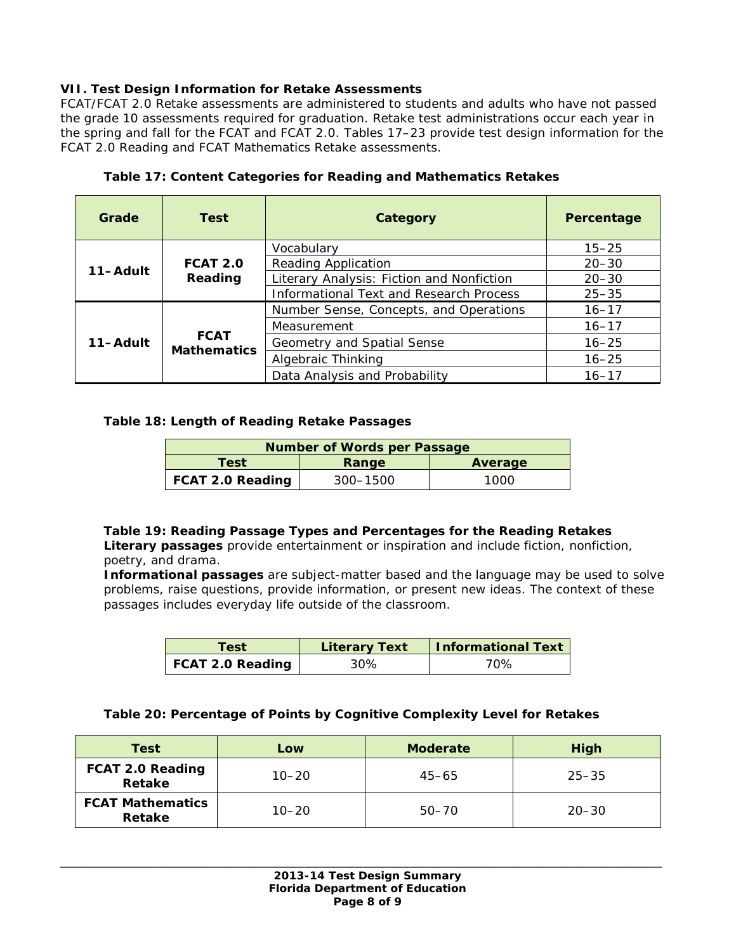# **VII. Test Design Information for Retake Assessments**

FCAT/FCAT 2.0 Retake assessments are administered to students and adults who have not passed the grade 10 assessments required for graduation. Retake test administrations occur each year in the spring and fall for the FCAT and FCAT 2.0. Tables 17–23 provide test design information for the FCAT 2.0 Reading and FCAT Mathematics Retake assessments.

| Grade    | <b>Test</b>                       | Category                                       | Percentage |
|----------|-----------------------------------|------------------------------------------------|------------|
|          |                                   | Vocabulary                                     | $15 - 25$  |
| 11-Adult | <b>FCAT 2.0</b>                   | <b>Reading Application</b>                     | $20 - 30$  |
|          | Reading                           | Literary Analysis: Fiction and Nonfiction      | $20 - 30$  |
|          |                                   | <b>Informational Text and Research Process</b> | $25 - 35$  |
|          |                                   | Number Sense, Concepts, and Operations         | $16 - 17$  |
|          |                                   | Measurement                                    | $16 - 17$  |
| 11-Adult | <b>FCAT</b><br><b>Mathematics</b> | Geometry and Spatial Sense                     | $16 - 25$  |
|          |                                   | Algebraic Thinking                             | $16 - 25$  |
|          |                                   | Data Analysis and Probability                  | $16 - 17$  |

## **Table 17: Content Categories for Reading and Mathematics Retakes**

## **Table 18: Length of Reading Retake Passages**

| <b>Number of Words per Passage</b> |          |      |  |
|------------------------------------|----------|------|--|
| Test<br>Average<br>Range           |          |      |  |
| <b>FCAT 2.0 Reading</b>            | 300–1500 | 1000 |  |

## **Table 19: Reading Passage Types and Percentages for the Reading Retakes**

*Literary passages provide entertainment or inspiration and include fiction, nonfiction, poetry, and drama.* 

*Informational passages are subject-matter based and the language may be used to solve problems, raise questions, provide information, or present new ideas. The context of these passages includes everyday life outside of the classroom.*

| Test             | <b>Literary Text</b> | Informational Text |
|------------------|----------------------|--------------------|
| FCAT 2.0 Reading | 30%                  | 70%                |

#### **Table 20: Percentage of Points by Cognitive Complexity Level for Retakes**

| Test                                     | Low       | <b>Moderate</b> | High      |
|------------------------------------------|-----------|-----------------|-----------|
| FCAT 2.0 Reading<br>Retake               | $10 - 20$ | $45 - 65$       | $25 - 35$ |
| <b>FCAT Mathematics</b><br><b>Retake</b> | $10 - 20$ | $50 - 70$       | $20 - 30$ |

\_\_\_\_\_\_\_\_\_\_\_\_\_\_\_\_\_\_\_\_\_\_\_\_\_\_\_\_\_\_\_\_\_\_\_\_\_\_\_\_\_\_\_\_\_\_\_\_\_\_\_\_\_\_\_\_\_\_\_\_\_\_\_\_\_\_\_\_\_\_\_\_\_\_\_